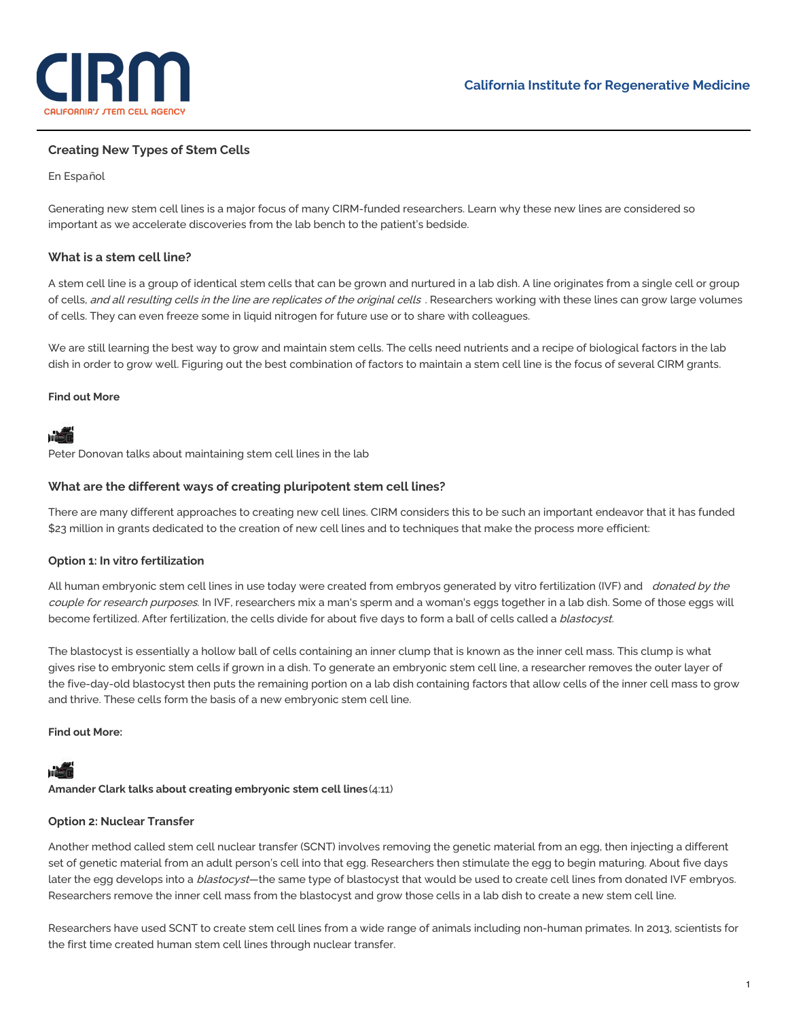

# **Creating New Types of Stem Cells**

### En [Español](https://www.cirm.ca.gov/our-progress/creaci%25C3%25B3n-de-nuevos-tipos-de-c%25C3%25A9lulas-madre)

Generating new stem cell lines is a major focus of many CIRM-funded researchers. Learn why these new lines are considered so important as we accelerate discoveries from the lab bench to the patient's bedside.

# **What is a stem cell line?**

A stem cell line is a group of identical stem cells that can be grown and nurtured in a lab dish. A line originates from a single cell or group of cells, and all resulting cells in the line are replicates of the original cells . Researchers working with these lines can grow large volumes of cells. They can even freeze some in liquid nitrogen for future use or to share with colleagues.

We are still learning the best way to grow and maintain stem cells. The cells need nutrients and a recipe of biological factors in the lab dish in order to grow well. Figuring out the best combination of factors to maintain a stem cell line is the focus of several CIRM grants.

#### **Find out More**

# má

Peter Donovan talks about [maintaining](https://www.cirm.ca.gov/our-progress/video/peter-donovan-talks-about-maintaining-stem-cell-lines-lab) stem cell lines in the lab

# **What are the different ways of creating pluripotent stem cell lines?**

There are many different approaches to creating new cell lines. CIRM considers this to be such an important endeavor that it has funded \$23 million in grants dedicated to the creation of new cell lines and to techniques that make the process more efficient:

# **Option 1: In vitro fertilization**

All human embryonic stem cell lines in use today were created from embryos generated by vitro fertilization (IVF) and donated by the couple for research purposes. In IVF, researchers mix a man's sperm and a woman's eggs together in a lab dish. Some of those eggs will become fertilized. After fertilization, the cells divide for about five days to form a ball of cells called a blastocyst.

The blastocyst is essentially a hollow ball of cells containing an inner clump that is known as the inner cell mass. This clump is what gives rise to embryonic stem cells if grown in a dish. To generate an embryonic stem cell line, a researcher removes the outer layer of the five-day-old blastocyst then puts the remaining portion on a lab dish containing factors that allow cells of the inner cell mass to grow and thrive. These cells form the basis of a new embryonic stem cell line.

#### **Find out More:**

# má

**Amander Clark talks about creating [embryonic](https://www.cirm.ca.gov/our-progress/video/amander-clark-talks-about-creating-embryonic-stem-cell-lines) stem cell lines**(4:11)

# **Option 2: Nuclear Transfer**

Another method called stem cell nuclear transfer (SCNT) involves removing the genetic material from an egg, then injecting a different set of genetic material from an adult person's cell into that egg. Researchers then stimulate the egg to begin maturing. About five days later the egg develops into a *blastocyst*—the same type of blastocyst that would be used to create cell lines from donated IVF embryos. Researchers remove the inner cell mass from the blastocyst and grow those cells in a lab dish to create a new stem cell line.

Researchers have used SCNT to create stem cell lines from a wide range of animals including non-human primates. In 2013, scientists for the first time created human stem cell lines through nuclear transfer.